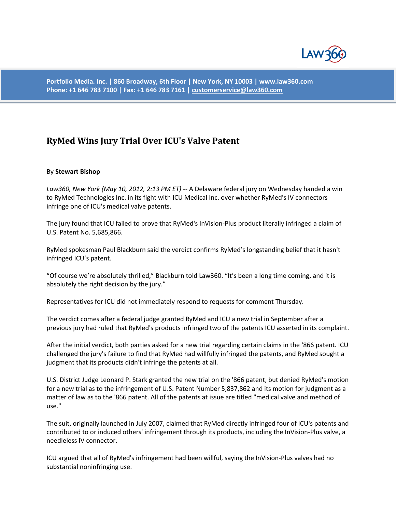

**Portfolio Media. Inc. | 860 Broadway, 6th Floor | New York, NY 10003 | www.law360.com Phone: +1 646 783 7100 | Fax: +1 646 783 7161 [| customerservice@law360.com](mailto:customerservice@law360.com)**

## **RyMed Wins Jury Trial Over ICU's Valve Patent**

## By **Stewart Bishop**

*Law360, New York (May 10, 2012, 2:13 PM ET)* -- A Delaware federal jury on Wednesday handed a win to RyMed Technologies Inc. in its fight with ICU Medical Inc. over whether RyMed's IV connectors infringe one of ICU's medical valve patents.

The jury found that ICU failed to prove that RyMed's InVision-Plus product literally infringed a claim of U.S. Patent No. 5,685,866.

RyMed spokesman Paul Blackburn said the verdict confirms RyMed's longstanding belief that it hasn't infringed ICU's patent.

"Of course we're absolutely thrilled," Blackburn told Law360. "It's been a long time coming, and it is absolutely the right decision by the jury."

Representatives for ICU did not immediately respond to requests for comment Thursday.

The verdict comes after a federal judge granted RyMed and ICU a new trial in September after a previous jury had ruled that RyMed's products infringed two of the patents ICU asserted in its complaint.

After the initial verdict, both parties asked for a new trial regarding certain claims in the '866 patent. ICU challenged the jury's failure to find that RyMed had willfully infringed the patents, and RyMed sought a judgment that its products didn't infringe the patents at all.

U.S. District Judge Leonard P. Stark granted the new trial on the '866 patent, but denied RyMed's motion for a new trial as to the infringement of U.S. Patent Number 5,837,862 and its motion for judgment as a matter of law as to the '866 patent. All of the patents at issue are titled "medical valve and method of use."

The suit, originally launched in July 2007, claimed that RyMed directly infringed four of ICU's patents and contributed to or induced others' infringement through its products, including the InVision-Plus valve, a needleless IV connector.

ICU argued that all of RyMed's infringement had been willful, saying the InVision-Plus valves had no substantial noninfringing use.